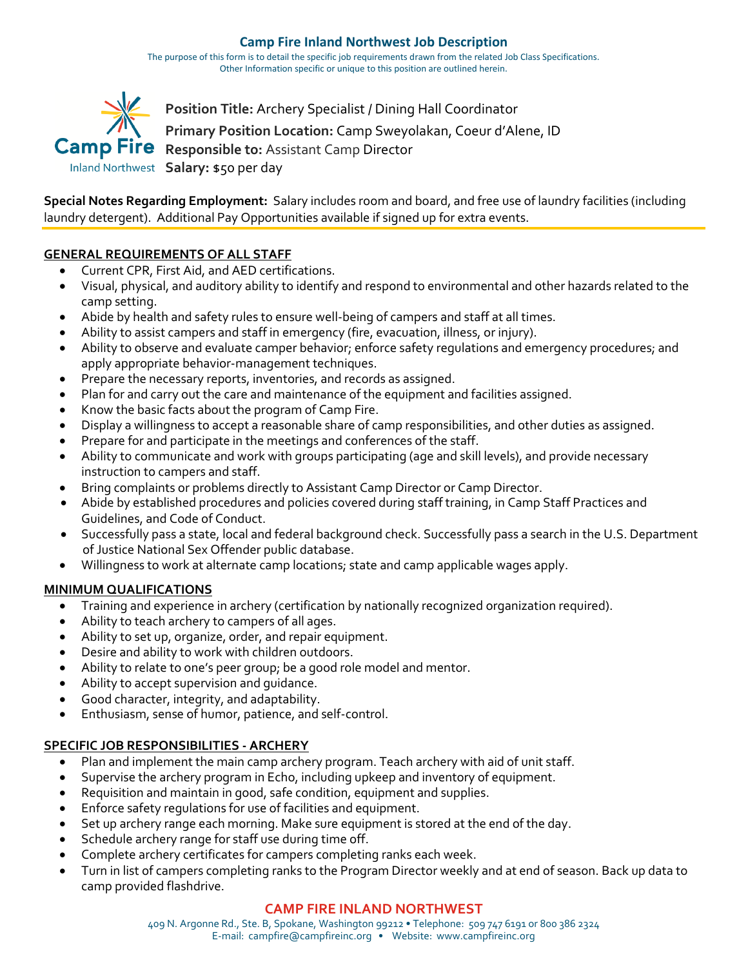#### **Camp Fire Inland Northwest Job Description**

The purpose of this form is to detail the specific job requirements drawn from the related Job Class Specifications. Other Information specific or unique to this position are outlined herein.



**Special Notes Regarding Employment:** Salary includes room and board, and free use of laundry facilities (including laundry detergent). Additional Pay Opportunities available if signed up for extra events.

#### **GENERAL REQUIREMENTS OF ALL STAFF**

- Current CPR, First Aid, and AED certifications.
- Visual, physical, and auditory ability to identify and respond to environmental and other hazards related to the camp setting.
- Abide by health and safety rules to ensure well-being of campers and staff at all times.
- Ability to assist campers and staff in emergency (fire, evacuation, illness, or injury).
- Ability to observe and evaluate camper behavior; enforce safety regulations and emergency procedures; and apply appropriate behavior-management techniques.
- Prepare the necessary reports, inventories, and records as assigned.
- Plan for and carry out the care and maintenance of the equipment and facilities assigned.
- Know the basic facts about the program of Camp Fire.
- Display a willingness to accept a reasonable share of camp responsibilities, and other duties as assigned.
- Prepare for and participate in the meetings and conferences of the staff.
- Ability to communicate and work with groups participating (age and skill levels), and provide necessary instruction to campers and staff.
- Bring complaints or problems directly to Assistant Camp Director or Camp Director.
- Abide by established procedures and policies covered during staff training, in Camp Staff Practices and Guidelines, and Code of Conduct.
- Successfully pass a state, local and federal background check. Successfully pass a search in the U.S. Department of Justice National Sex Offender public database.
- Willingness to work at alternate camp locations; state and camp applicable wages apply.

# **MINIMUM QUALIFICATIONS**

- Training and experience in archery (certification by nationally recognized organization required).
- Ability to teach archery to campers of all ages.
- Ability to set up, organize, order, and repair equipment.
- Desire and ability to work with children outdoors.
- Ability to relate to one's peer group; be a good role model and mentor.
- Ability to accept supervision and guidance.
- Good character, integrity, and adaptability.
- Enthusiasm, sense of humor, patience, and self-control.

# **SPECIFIC JOB RESPONSIBILITIES - ARCHERY**

- Plan and implement the main camp archery program. Teach archery with aid of unit staff.
- Supervise the archery program in Echo, including upkeep and inventory of equipment.
- Requisition and maintain in good, safe condition, equipment and supplies.
- Enforce safety regulations for use of facilities and equipment.
- Set up archery range each morning. Make sure equipment is stored at the end of the day.
- Schedule archery range for staff use during time off.
- Complete archery certificates for campers completing ranks each week.
- Turn in list of campers completing ranks to the Program Director weekly and at end of season. Back up data to camp provided flashdrive.

# **CAMP FIRE INLAND NORTHWEST**